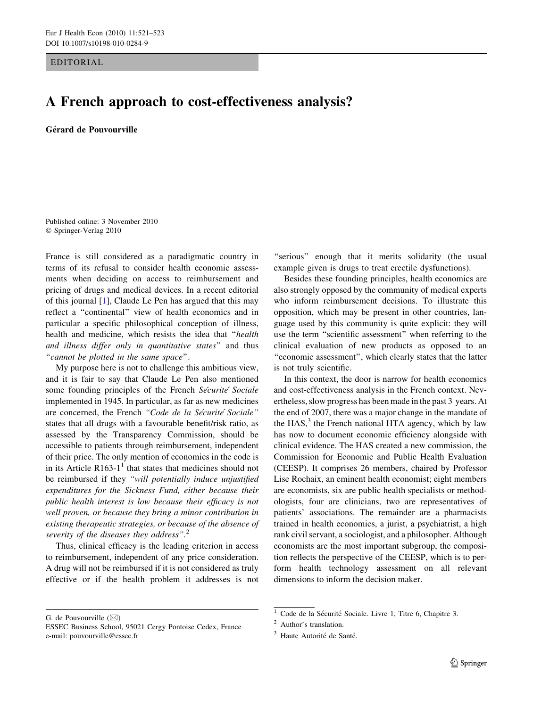EDITORIAL

## A French approach to cost-effectiveness analysis?

Gérard de Pouvourville

Published online: 3 November 2010 © Springer-Verlag 2010

France is still considered as a paradigmatic country in terms of its refusal to consider health economic assessments when deciding on access to reimbursement and pricing of drugs and medical devices. In a recent editorial of this journal [\[1](#page-2-0)], Claude Le Pen has argued that this may reflect a ''continental'' view of health economics and in particular a specific philosophical conception of illness, health and medicine, which resists the idea that ''health and illness differ only in quantitative states'' and thus ''cannot be plotted in the same space''.

My purpose here is not to challenge this ambitious view, and it is fair to say that Claude Le Pen also mentioned some founding principles of the French Securite' Sociale implemented in 1945. In particular, as far as new medicines are concerned, the French "Code de la Sécurité Sociale" states that all drugs with a favourable benefit/risk ratio, as assessed by the Transparency Commission, should be accessible to patients through reimbursement, independent of their price. The only mention of economics in the code is in its Article R163-1<sup>1</sup> that states that medicines should not be reimbursed if they "will potentially induce unjustified expenditures for the Sickness Fund, either because their public health interest is low because their efficacy is not well proven, or because they bring a minor contribution in existing therapeutic strategies, or because of the absence of severity of the diseases they address". $2$ 

Thus, clinical efficacy is the leading criterion in access to reimbursement, independent of any price consideration. A drug will not be reimbursed if it is not considered as truly effective or if the health problem it addresses is not

G. de Pouvourville  $(\boxtimes)$ 

"serious" enough that it merits solidarity (the usual example given is drugs to treat erectile dysfunctions).

Besides these founding principles, health economics are also strongly opposed by the community of medical experts who inform reimbursement decisions. To illustrate this opposition, which may be present in other countries, language used by this community is quite explicit: they will use the term ''scientific assessment'' when referring to the clinical evaluation of new products as opposed to an ''economic assessment'', which clearly states that the latter is not truly scientific.

In this context, the door is narrow for health economics and cost-effectiveness analysis in the French context. Nevertheless, slow progress has been made in the past 3 years. At the end of 2007, there was a major change in the mandate of the  $HAS$ ,<sup>3</sup> the French national HTA agency, which by law has now to document economic efficiency alongside with clinical evidence. The HAS created a new commission, the Commission for Economic and Public Health Evaluation (CEESP). It comprises 26 members, chaired by Professor Lise Rochaix, an eminent health economist; eight members are economists, six are public health specialists or methodologists, four are clinicians, two are representatives of patients' associations. The remainder are a pharmacists trained in health economics, a jurist, a psychiatrist, a high rank civil servant, a sociologist, and a philosopher. Although economists are the most important subgroup, the composition reflects the perspective of the CEESP, which is to perform health technology assessment on all relevant dimensions to inform the decision maker.

ESSEC Business School, 95021 Cergy Pontoise Cedex, France e-mail: pouvourville@essec.fr

 $1$  Code de la Sécurité Sociale. Livre 1, Titre 6, Chapitre 3.

<sup>2</sup> Author's translation.

<sup>&</sup>lt;sup>3</sup> Haute Autorité de Santé.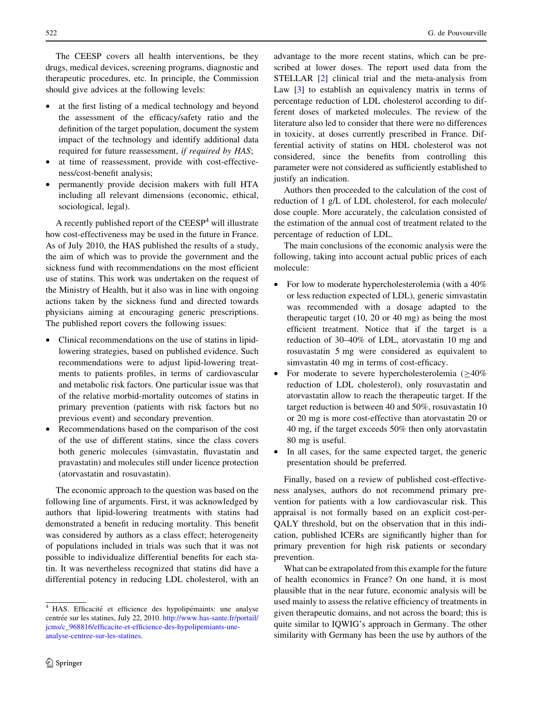The CEESP covers all health interventions, be they drugs, medical devices, screening programs, diagnostic and therapeutic procedures, etc. In principle, the Commission should give advices at the following levels:

- at the first listing of a medical technology and beyond the assessment of the efficacy/safety ratio and the definition of the target population, document the system impact of the technology and identify additional data required for future reassessment, if required by HAS;
- at time of reassessment, provide with cost-effectiveness/cost-benefit analysis;
- permanently provide decision makers with full HTA including all relevant dimensions (economic, ethical, sociological, legal).

A recently published report of the  $CEESP<sup>4</sup>$  will illustrate how cost-effectiveness may be used in the future in France. As of July 2010, the HAS published the results of a study, the aim of which was to provide the government and the sickness fund with recommendations on the most efficient use of statins. This work was undertaken on the request of the Ministry of Health, but it also was in line with ongoing actions taken by the sickness fund and directed towards physicians aiming at encouraging generic prescriptions. The published report covers the following issues:

- Clinical recommendations on the use of statins in lipidlowering strategies, based on published evidence. Such recommendations were to adjust lipid-lowering treatments to patients profiles, in terms of cardiovascular and metabolic risk factors. One particular issue was that of the relative morbid-mortality outcomes of statins in primary prevention (patients with risk factors but no previous event) and secondary prevention.
- Recommendations based on the comparison of the cost of the use of different statins, since the class covers both generic molecules (simvastatin, fluvastatin and pravastatin) and molecules still under licence protection (atorvastatin and rosuvastatin).

The economic approach to the question was based on the following line of arguments. First, it was acknowledged by authors that lipid-lowering treatments with statins had demonstrated a benefit in reducing mortality. This benefit was considered by authors as a class effect; heterogeneity of populations included in trials was such that it was not possible to individualize differential benefits for each statin. It was nevertheless recognized that statins did have a differential potency in reducing LDL cholesterol, with an advantage to the more recent statins, which can be prescribed at lower doses. The report used data from the STELLAR [\[2](#page-2-0)] clinical trial and the meta-analysis from Law [\[3](#page-2-0)] to establish an equivalency matrix in terms of percentage reduction of LDL cholesterol according to different doses of marketed molecules. The review of the literature also led to consider that there were no differences in toxicity, at doses currently prescribed in France. Differential activity of statins on HDL cholesterol was not considered, since the benefits from controlling this parameter were not considered as sufficiently established to justify an indication.

Authors then proceeded to the calculation of the cost of reduction of 1 g/L of LDL cholesterol, for each molecule/ dose couple. More accurately, the calculation consisted of the estimation of the annual cost of treatment related to the percentage of reduction of LDL.

The main conclusions of the economic analysis were the following, taking into account actual public prices of each molecule:

- For low to moderate hypercholesterolemia (with a 40% or less reduction expected of LDL), generic simvastatin was recommended with a dosage adapted to the therapeutic target (10, 20 or 40 mg) as being the most efficient treatment. Notice that if the target is a reduction of 30–40% of LDL, atorvastatin 10 mg and rosuvastatin 5 mg were considered as equivalent to simvastatin 40 mg in terms of cost-efficacy.
- For moderate to severe hypercholesterolemia  $(≥40%$ reduction of LDL cholesterol), only rosuvastatin and atorvastatin allow to reach the therapeutic target. If the target reduction is between 40 and 50%, rosuvastatin 10 or 20 mg is more cost-effective than atorvastatin 20 or 40 mg, if the target exceeds 50% then only atorvastatin 80 mg is useful.
- In all cases, for the same expected target, the generic presentation should be preferred.

Finally, based on a review of published cost-effectiveness analyses, authors do not recommend primary prevention for patients with a low cardiovascular risk. This appraisal is not formally based on an explicit cost-per-QALY threshold, but on the observation that in this indication, published ICERs are significantly higher than for primary prevention for high risk patients or secondary prevention.

What can be extrapolated from this example for the future of health economics in France? On one hand, it is most plausible that in the near future, economic analysis will be used mainly to assess the relative efficiency of treatments in given therapeutic domains, and not across the board; this is quite similar to IQWIG's approach in Germany. The other similarity with Germany has been the use by authors of the

 $4$  HAS. Efficacité et efficience des hypolipémaints: une analyse centrée sur les statines, July 22, 2010. [http://www.has-sante.fr/portail/](http://www.has-sante.fr/portail/jcms/c_968816/efficacite-et-efficience-des-hypolipemiants-une-analyse-centree-sur-les-statines) [jcms/c\\_968816/efficacite-et-efficience-des-hypolipemiants-une](http://www.has-sante.fr/portail/jcms/c_968816/efficacite-et-efficience-des-hypolipemiants-une-analyse-centree-sur-les-statines)[analyse-centree-sur-les-statines.](http://www.has-sante.fr/portail/jcms/c_968816/efficacite-et-efficience-des-hypolipemiants-une-analyse-centree-sur-les-statines)